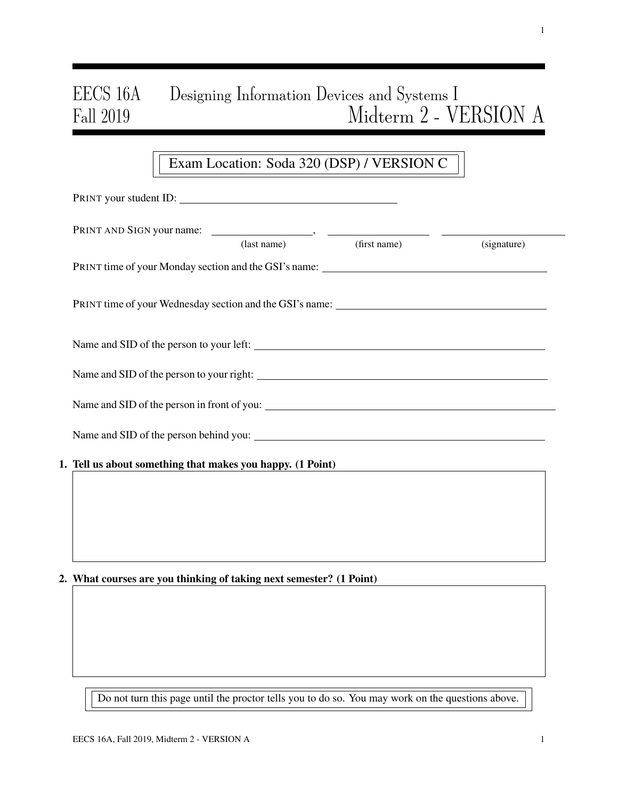# EECS 16A Designing Information Devices and Systems I<br>Fall 2019 Midterm 2 - V  $\rm{Midterm}$ 2 - VERSION A

## Exam Location: Soda 320 (DSP) / VERSION C

|                                                            |  | PRINT your student ID: |                          |             |  |
|------------------------------------------------------------|--|------------------------|--------------------------|-------------|--|
|                                                            |  |                        | (last name) (first name) | (signature) |  |
|                                                            |  |                        |                          |             |  |
|                                                            |  |                        |                          |             |  |
|                                                            |  |                        |                          |             |  |
|                                                            |  |                        |                          |             |  |
|                                                            |  |                        |                          |             |  |
|                                                            |  |                        |                          |             |  |
| 1. Tell us about something that makes you happy. (1 Point) |  |                        |                          |             |  |
|                                                            |  |                        |                          |             |  |
|                                                            |  |                        |                          |             |  |
|                                                            |  |                        |                          |             |  |

#### 2. What courses are you thinking of taking next semester? (1 Point)

Do not turn this page until the proctor tells you to do so. You may work on the questions above.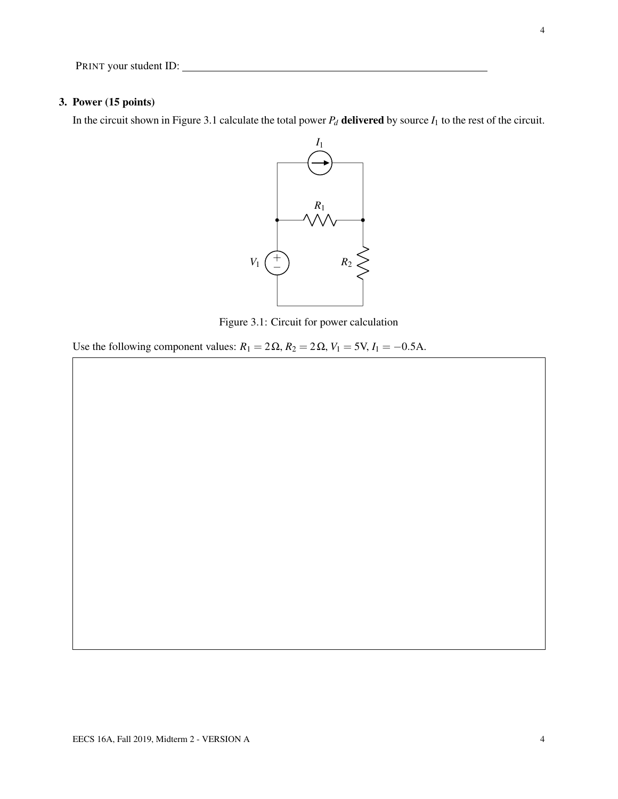#### 3. Power (15 points)

In the circuit shown in Figure 3.1 calculate the total power  $P_d$  delivered by source  $I_1$  to the rest of the circuit.



Figure 3.1: Circuit for power calculation

Use the following component values:  $R_1 = 2\Omega$ ,  $R_2 = 2\Omega$ ,  $V_1 = 5V$ ,  $I_1 = -0.5A$ .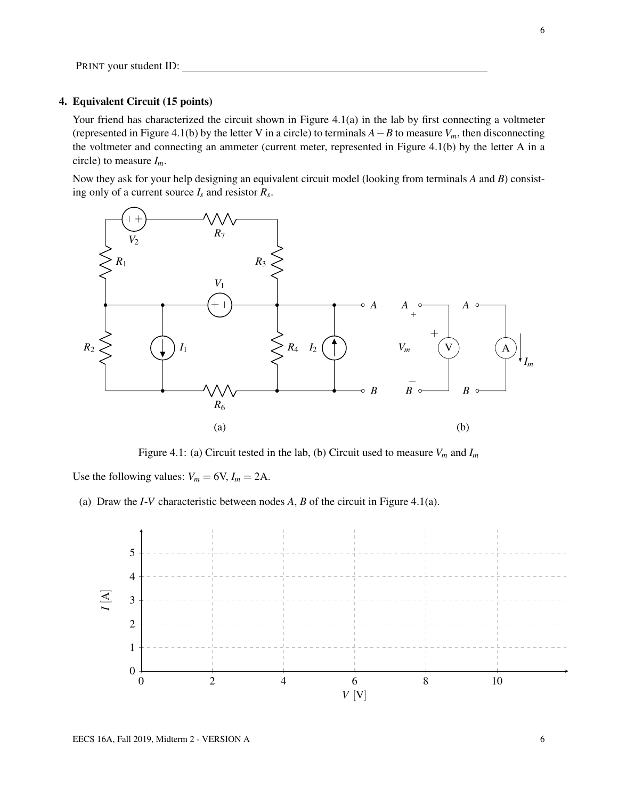#### 4. Equivalent Circuit (15 points)

Your friend has characterized the circuit shown in Figure 4.1(a) in the lab by first connecting a voltmeter (represented in Figure 4.1(b) by the letter V in a circle) to terminals *A*−*B* to measure *Vm*, then disconnecting the voltmeter and connecting an ammeter (current meter, represented in Figure 4.1(b) by the letter A in a circle) to measure *Im*.

Now they ask for your help designing an equivalent circuit model (looking from terminals *A* and *B*) consisting only of a current source *I<sup>s</sup>* and resistor *R<sup>s</sup>* .



Figure 4.1: (a) Circuit tested in the lab, (b) Circuit used to measure  $V_m$  and  $I_m$ 

Use the following values:  $V_m = 6V$ ,  $I_m = 2A$ .

(a) Draw the *I*-*V* characteristic between nodes *A*, *B* of the circuit in Figure 4.1(a).

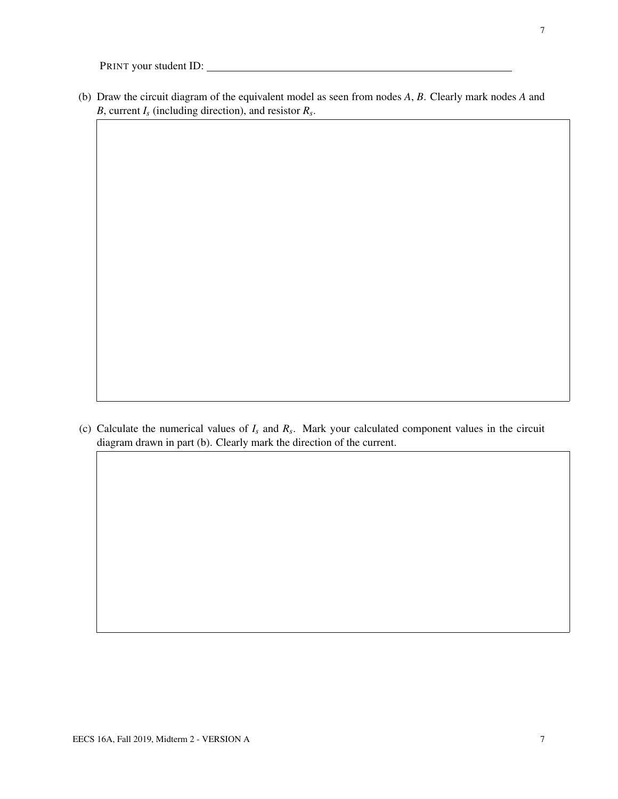(b) Draw the circuit diagram of the equivalent model as seen from nodes *A*, *B*. Clearly mark nodes *A* and *B*, current *I<sup>s</sup>* (including direction), and resistor *R<sup>s</sup>* .

(c) Calculate the numerical values of *I<sup>s</sup>* and *R<sup>s</sup>* . Mark your calculated component values in the circuit diagram drawn in part (b). Clearly mark the direction of the current.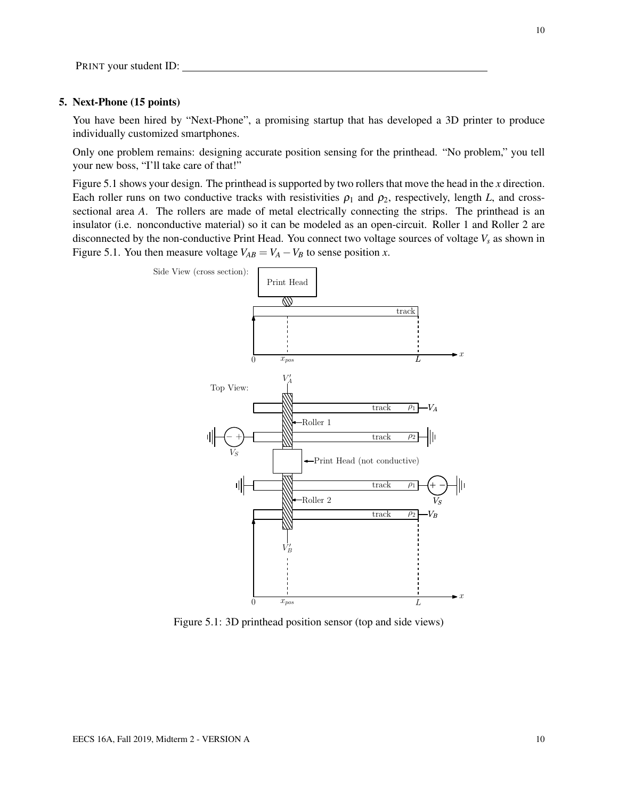#### 5. Next-Phone (15 points)

You have been hired by "Next-Phone", a promising startup that has developed a 3D printer to produce individually customized smartphones.

Only one problem remains: designing accurate position sensing for the printhead. "No problem," you tell your new boss, "I'll take care of that!"

Figure 5.1 shows your design. The printhead is supported by two rollers that move the head in the *x* direction. Each roller runs on two conductive tracks with resistivities  $\rho_1$  and  $\rho_2$ , respectively, length *L*, and crosssectional area *A*. The rollers are made of metal electrically connecting the strips. The printhead is an insulator (i.e. nonconductive material) so it can be modeled as an open-circuit. Roller 1 and Roller 2 are disconnected by the non-conductive Print Head. You connect two voltage sources of voltage *V<sup>s</sup>* as shown in Figure 5.1. You then measure voltage  $V_{AB} = V_A - V_B$  to sense position *x*.



Figure 5.1: 3D printhead position sensor (top and side views)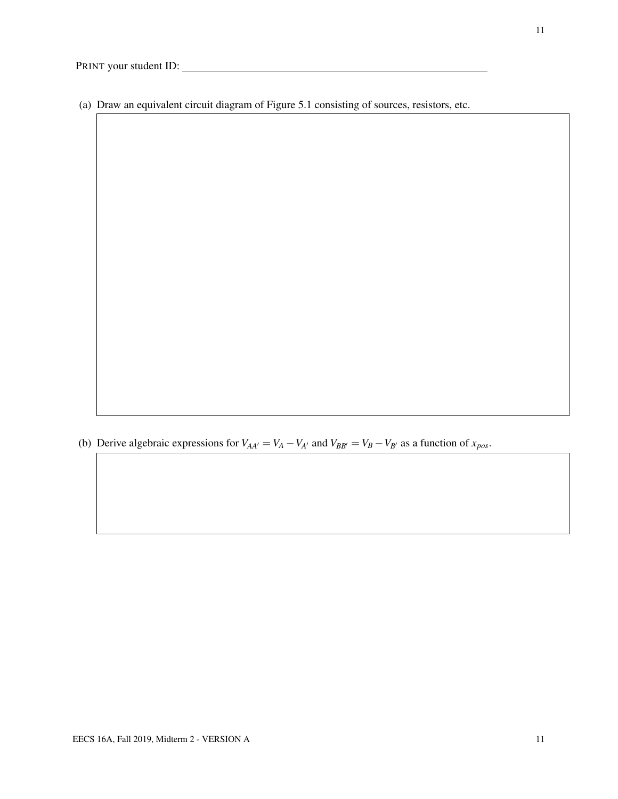(a) Draw an equivalent circuit diagram of Figure 5.1 consisting of sources, resistors, etc.

(b) Derive algebraic expressions for  $V_{AA'} = V_A - V_{A'}$  and  $V_{BB'} = V_B - V_{B'}$  as a function of  $x_{pos}$ .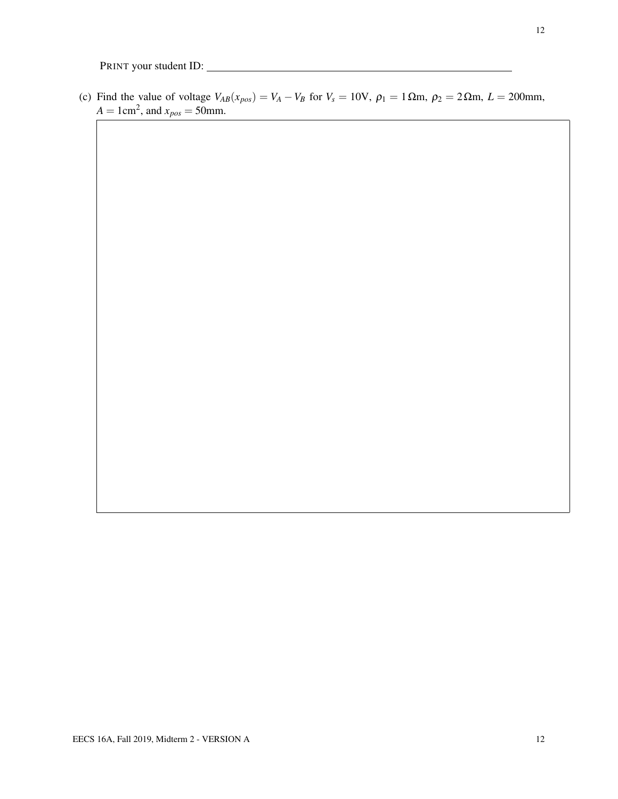(c) Find the value of voltage  $V_{AB}(x_{pos}) = V_A - V_B$  for  $V_s = 10V$ ,  $\rho_1 = 1 \Omega m$ ,  $\rho_2 = 2 \Omega m$ ,  $L = 200$ mm,  $A = 1 \text{cm}^2$ , and  $x_{pos} = 50 \text{mm}$ .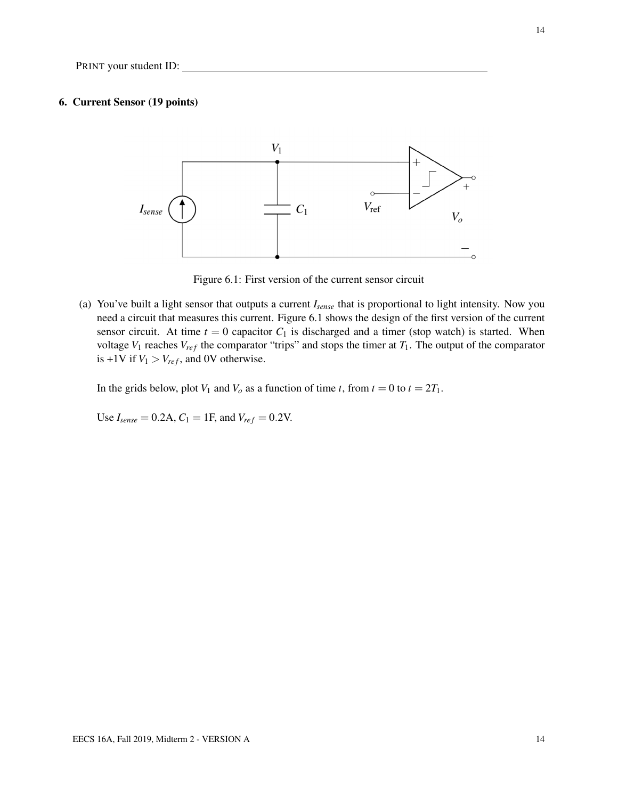#### 6. Current Sensor (19 points)



Figure 6.1: First version of the current sensor circuit

(a) You've built a light sensor that outputs a current *Isense* that is proportional to light intensity. Now you need a circuit that measures this current. Figure 6.1 shows the design of the first version of the current sensor circuit. At time  $t = 0$  capacitor  $C_1$  is discharged and a timer (stop watch) is started. When voltage  $V_1$  reaches  $V_{ref}$  the comparator "trips" and stops the timer at  $T_1$ . The output of the comparator is +1V if  $V_1 > V_{ref}$ , and 0V otherwise.

In the grids below, plot  $V_1$  and  $V_0$  as a function of time *t*, from  $t = 0$  to  $t = 2T_1$ .

Use  $I_{sense} = 0.2$ A,  $C_1 = 1$ F, and  $V_{ref} = 0.2$ V.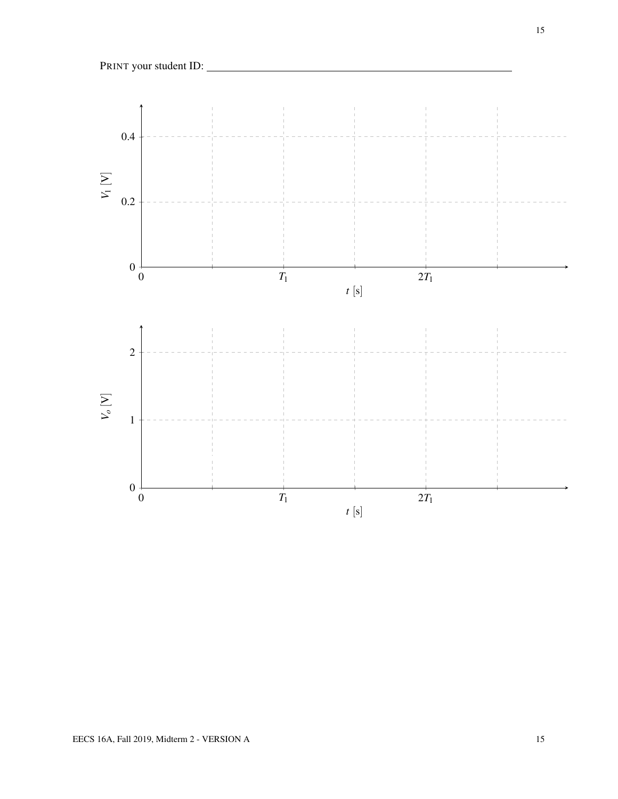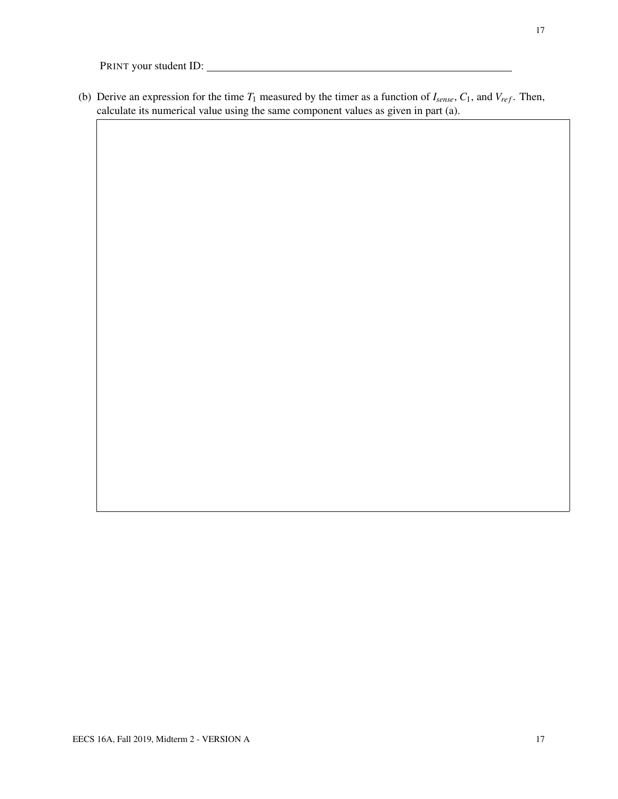(b) Derive an expression for the time  $T_1$  measured by the timer as a function of  $I_{sense}$ ,  $C_1$ , and  $V_{ref}$ . Then, calculate its numerical value using the same component values as given in part (a).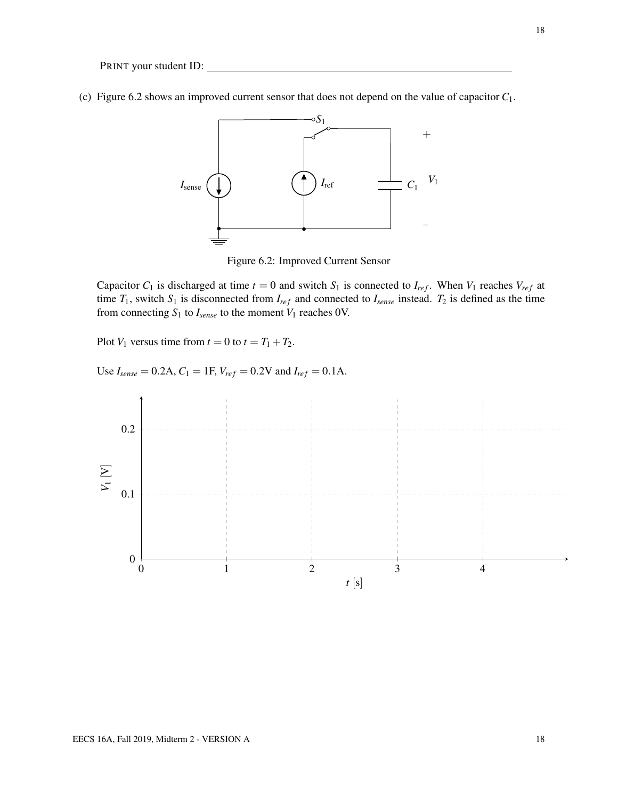(c) Figure 6.2 shows an improved current sensor that does not depend on the value of capacitor *C*1.



Figure 6.2: Improved Current Sensor

Capacitor  $C_1$  is discharged at time  $t = 0$  and switch  $S_1$  is connected to  $I_{ref}$ . When  $V_1$  reaches  $V_{ref}$  at time  $T_1$ , switch  $S_1$  is disconnected from  $I_{ref}$  and connected to  $I_{sense}$  instead.  $T_2$  is defined as the time from connecting  $S_1$  to  $I_{sense}$  to the moment  $V_1$  reaches 0V.

Plot  $V_1$  versus time from  $t = 0$  to  $t = T_1 + T_2$ .

Use  $I_{sense} = 0.2$ A,  $C_1 = 1$ F,  $V_{ref} = 0.2V$  and  $I_{ref} = 0.1$ A.

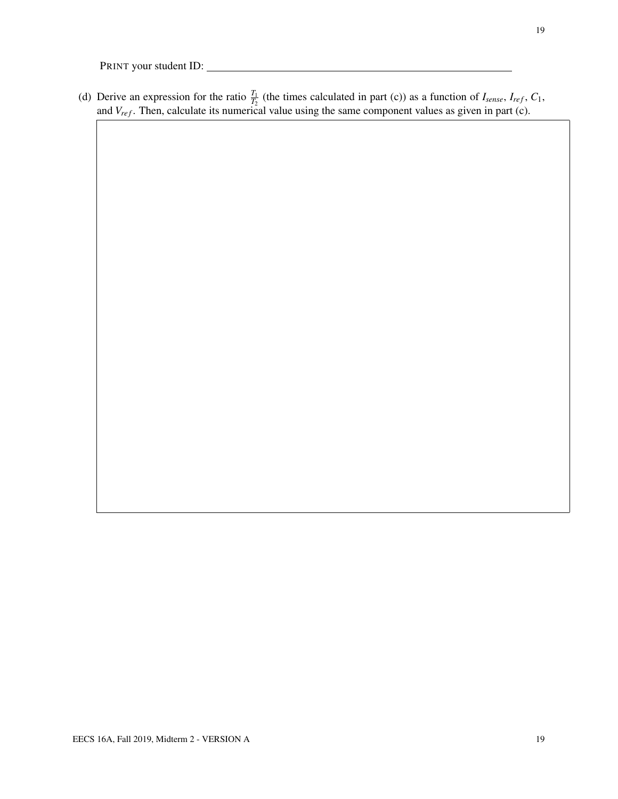(d) Derive an expression for the ratio  $\frac{T_1}{T_2}$  (the times calculated in part (c)) as a function of  $I_{sense}$ ,  $I_{ref}$ ,  $C_1$ , and *V<sub>ref</sub>*. Then, calculate its numerical value using the same component values as given in part (c).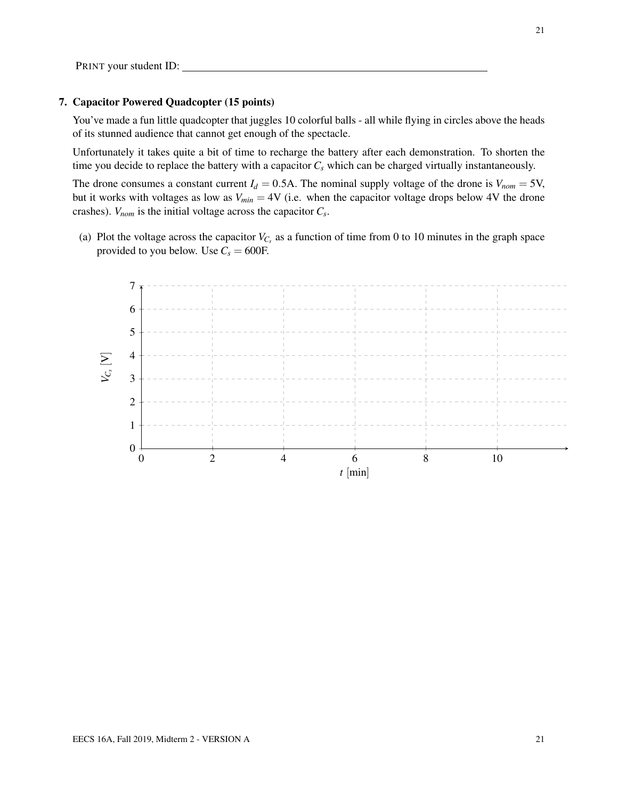#### 7. Capacitor Powered Quadcopter (15 points)

You've made a fun little quadcopter that juggles 10 colorful balls - all while flying in circles above the heads of its stunned audience that cannot get enough of the spectacle.

Unfortunately it takes quite a bit of time to recharge the battery after each demonstration. To shorten the time you decide to replace the battery with a capacitor *C<sup>s</sup>* which can be charged virtually instantaneously.

The drone consumes a constant current  $I_d = 0.5$ A. The nominal supply voltage of the drone is  $V_{nom} = 5$ V, but it works with voltages as low as  $V_{min} = 4V$  (i.e. when the capacitor voltage drops below 4V the drone crashes). *Vnom* is the initial voltage across the capacitor *C<sup>s</sup>* .

(a) Plot the voltage across the capacitor  $V_{C_s}$  as a function of time from 0 to 10 minutes in the graph space provided to you below. Use  $C_s = 600$ F.

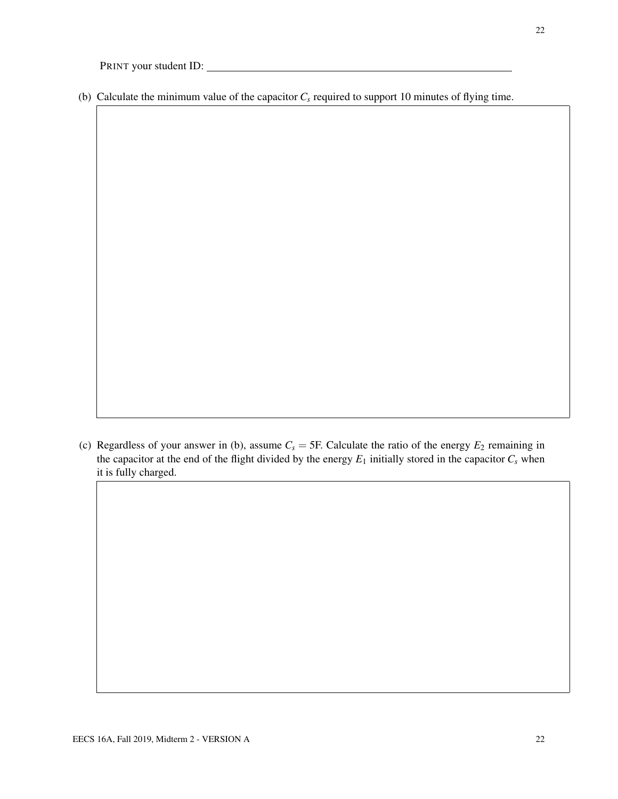(b) Calculate the minimum value of the capacitor  $C_s$  required to support 10 minutes of flying time.

(c) Regardless of your answer in (b), assume  $C_s = 5F$ . Calculate the ratio of the energy  $E_2$  remaining in the capacitor at the end of the flight divided by the energy  $E_1$  initially stored in the capacitor  $C_s$  when it is fully charged.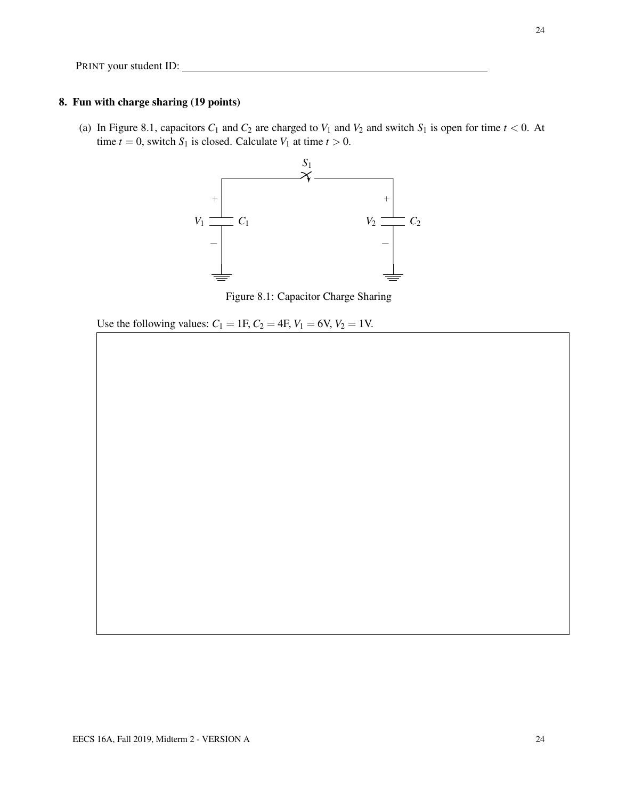#### 8. Fun with charge sharing (19 points)

(a) In Figure 8.1, capacitors  $C_1$  and  $C_2$  are charged to  $V_1$  and  $V_2$  and switch  $S_1$  is open for time  $t < 0$ . At time  $t = 0$ , switch  $S_1$  is closed. Calculate  $V_1$  at time  $t > 0$ .



Figure 8.1: Capacitor Charge Sharing

Use the following values:  $C_1 = 1F$ ,  $C_2 = 4F$ ,  $V_1 = 6V$ ,  $V_2 = 1V$ .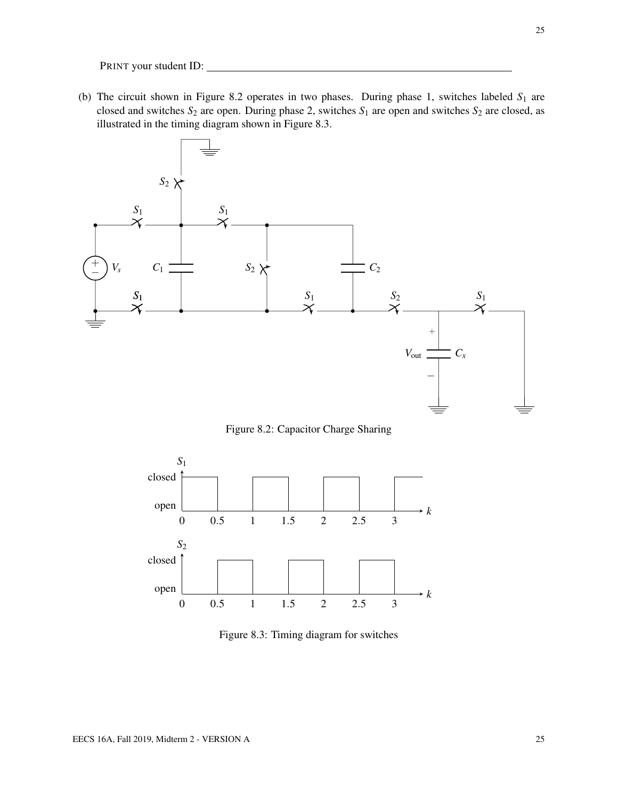(b) The circuit shown in Figure 8.2 operates in two phases. During phase 1, switches labeled  $S_1$  are closed and switches  $S_2$  are open. During phase 2, switches  $S_1$  are open and switches  $S_2$  are closed, as illustrated in the timing diagram shown in Figure 8.3.



Figure 8.2: Capacitor Charge Sharing



Figure 8.3: Timing diagram for switches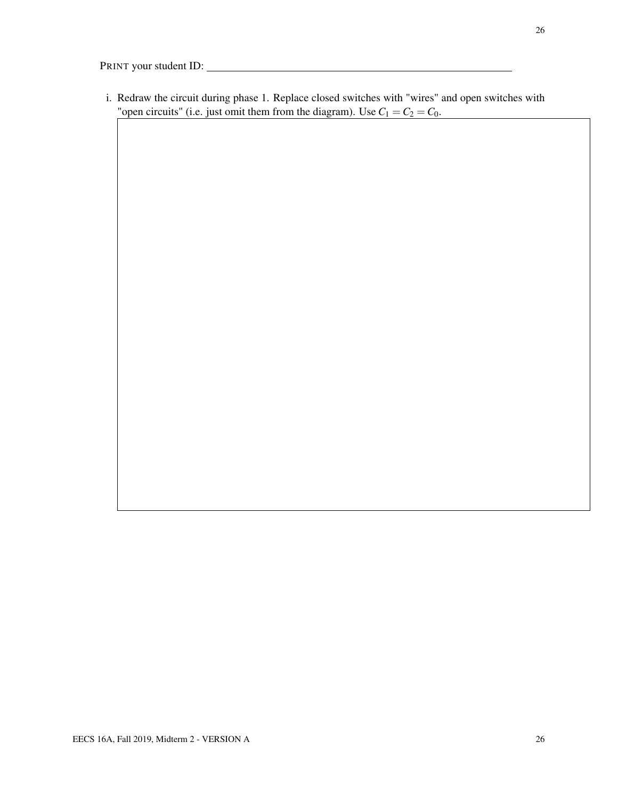i. Redraw the circuit during phase 1. Replace closed switches with "wires" and open switches with "open circuits" (i.e. just omit them from the diagram). Use  $C_1 = C_2 = C_0$ .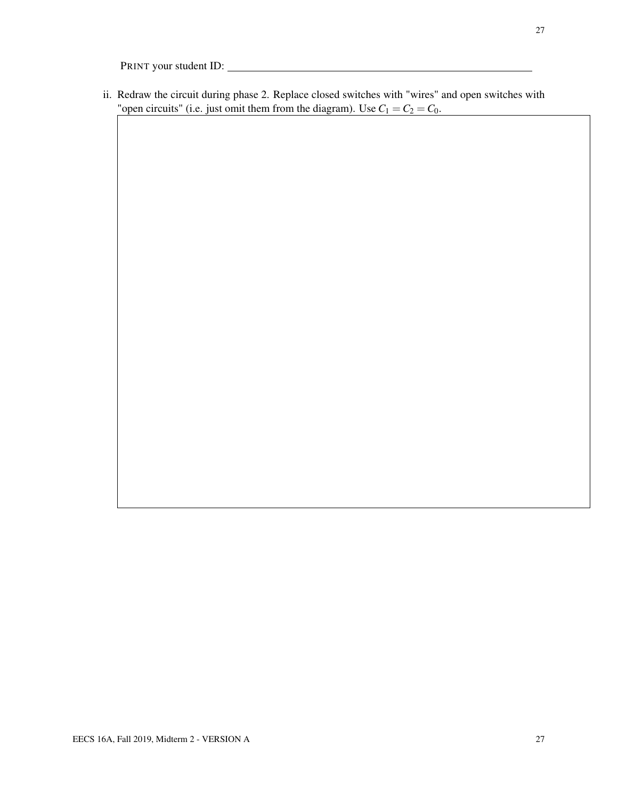ii. Redraw the circuit during phase 2. Replace closed switches with "wires" and open switches with "open circuits" (i.e. just omit them from the diagram). Use  $C_1 = C_2 = C_0$ .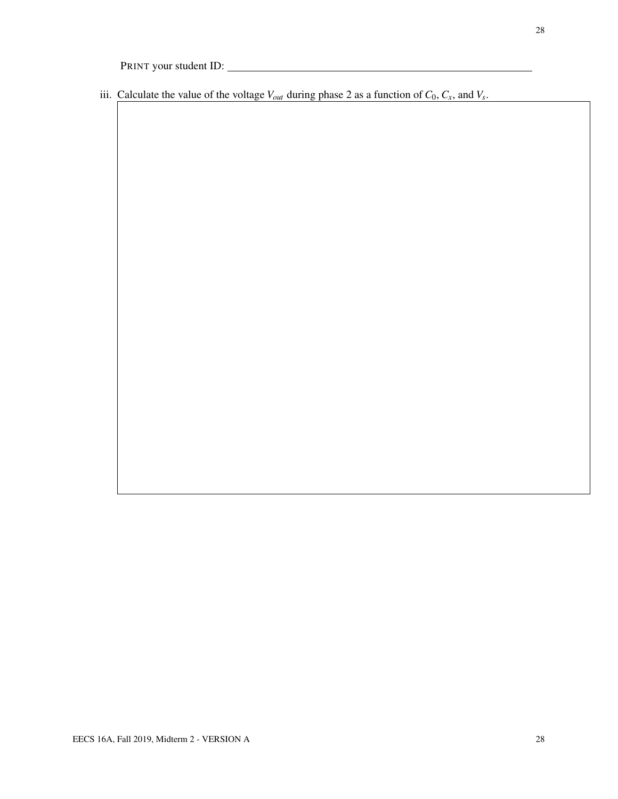iii. Calculate the value of the voltage  $V_{out}$  during phase 2 as a function of  $C_0$ ,  $C_x$ , and  $V_s$ .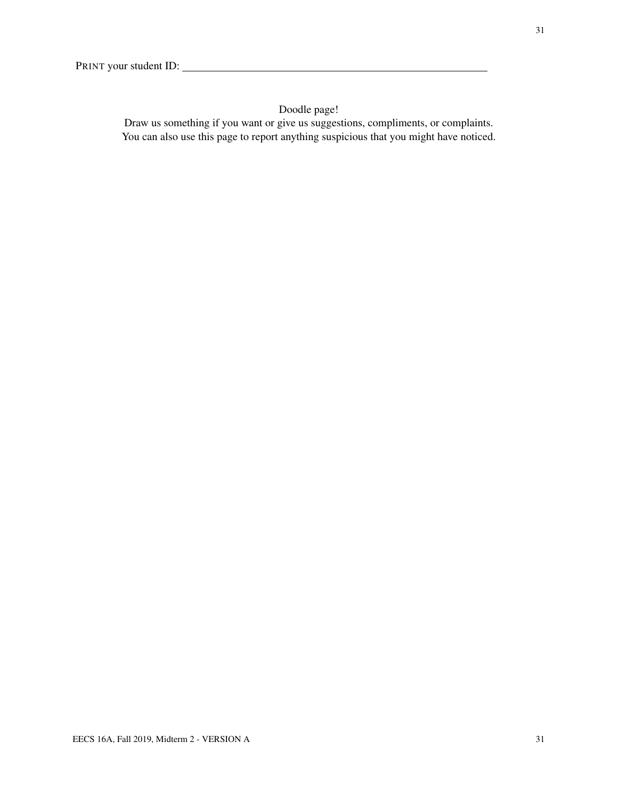## Doodle page!

Draw us something if you want or give us suggestions, compliments, or complaints. You can also use this page to report anything suspicious that you might have noticed.